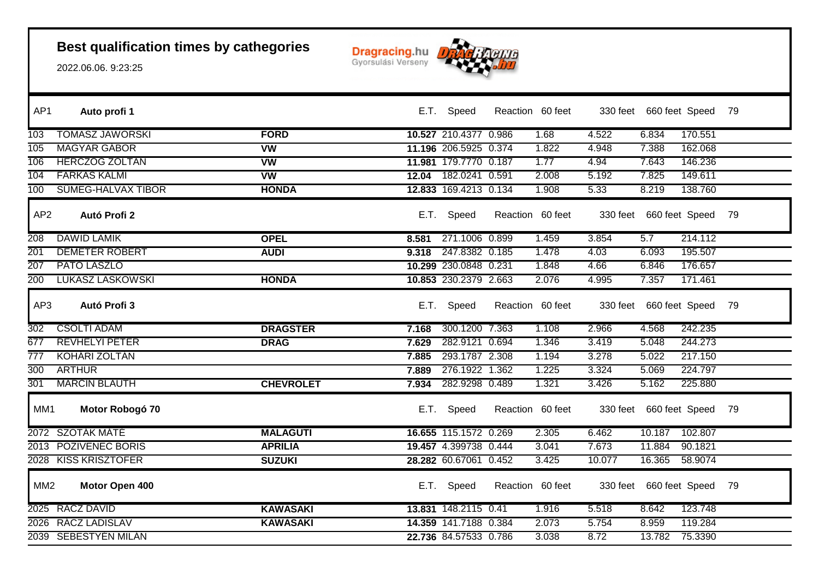

| AP1             | Auto profi 1              |                  |       | E.T. Speed            | Reaction 60 feet |          | 330 feet 660 feet Speed    |                | - 79 |
|-----------------|---------------------------|------------------|-------|-----------------------|------------------|----------|----------------------------|----------------|------|
| 103             | <b>TOMASZ JAWORSKI</b>    | <b>FORD</b>      |       | 10.527 210.4377 0.986 | 1.68             | 4.522    | 6.834                      | 170.551        |      |
| 105             | <b>MAGYAR GABOR</b>       | <b>VW</b>        |       | 11.196 206.5925 0.374 | 1.822            | 4.948    | 7.388                      | 162.068        |      |
| 106             | <b>HERCZOG ZOLTAN</b>     | <b>VW</b>        |       | 11.981 179.7770 0.187 | 1.77             | 4.94     | 7.643                      | 146.236        |      |
| 104             | <b>FARKAS KALMI</b>       | <b>VW</b>        |       | 12.04 182.0241 0.591  | 2.008            | 5.192    | 7.825                      | 149.611        |      |
| 100             | <b>SUMEG-HALVAX TIBOR</b> | <b>HONDA</b>     |       | 12.833 169.4213 0.134 | 1.908            | 5.33     | 8.219                      | 138.760        |      |
| AP <sub>2</sub> | Autó Profi 2              |                  |       | E.T. Speed            | Reaction 60 feet | 330 feet | 660 feet Speed             |                | 79   |
| 208             | <b>DAWID LAMIK</b>        | <b>OPEL</b>      | 8.581 | 271.1006 0.899        | 1.459            | 3.854    | 5.7                        | 214.112        |      |
| 201             | <b>DEMETER ROBERT</b>     | <b>AUDI</b>      | 9.318 | 247.8382 0.185        | 1.478            | 4.03     | 6.093                      | 195.507        |      |
| 207             | PATO LASZLO               |                  |       | 10.299 230.0848 0.231 | 1.848            | 4.66     | 6.846                      | 176.657        |      |
| 200             | <b>LUKASZ LASKOWSKI</b>   | <b>HONDA</b>     |       | 10.853 230.2379 2.663 | 2.076            | 4.995    | 7.357                      | 171.461        |      |
| AP3             | Autó Profi 3              |                  |       | E.T. Speed            | Reaction 60 feet |          | 330 feet 660 feet Speed 79 |                |      |
| 302             | <b>CSOLTI ADAM</b>        | <b>DRAGSTER</b>  | 7.168 | 300.1200 7.363        | 1.108            | 2.966    | 4.568                      | 242.235        |      |
| 677             | <b>REVHELYI PETER</b>     | <b>DRAG</b>      | 7.629 | 282.9121 0.694        | 1.346            | 3.419    | 5.048                      | 244.273        |      |
| 777             | <b>KOHARI ZOLTAN</b>      |                  | 7.885 | 293.1787 2.308        | 1.194            | 3.278    | 5.022                      | 217.150        |      |
| 300             | <b>ARTHUR</b>             |                  | 7.889 | 276.1922 1.362        | 1.225            | 3.324    | 5.069                      | 224.797        |      |
| 301             | <b>MARCIN BLAUTH</b>      | <b>CHEVROLET</b> | 7.934 | 282.9298 0.489        | 1.321            | 3.426    | 5.162                      | 225.880        |      |
| MM1             | Motor Robogó 70           |                  |       | E.T. Speed            | Reaction 60 feet | 330 feet |                            | 660 feet Speed | 79   |
|                 | 2072 SZOTAK MATE          | <b>MALAGUTI</b>  |       | 16.655 115.1572 0.269 | 2.305            | 6.462    | 10.187                     | 102.807        |      |
|                 | 2013 POZIVENEC BORIS      | <b>APRILIA</b>   |       | 19.457 4.399738 0.444 | 3.041            | 7.673    | 11.884                     | 90.1821        |      |
|                 | 2028 KISS KRISZTOFER      | <b>SUZUKI</b>    |       | 28.282 60.67061 0.452 | 3.425            | 10.077   | 16.365                     | 58.9074        |      |
| MM <sub>2</sub> | Motor Open 400            |                  |       | E.T. Speed            | Reaction 60 feet |          | 330 feet 660 feet Speed    |                | 79   |
|                 | 2025 RACZ DAVID           | <b>KAWASAKI</b>  |       | 13.831 148.2115 0.41  | 1.916            | 5.518    | 8.642                      | 123.748        |      |
|                 | 2026 RACZ LADISLAV        | <b>KAWASAKI</b>  |       | 14.359 141.7188 0.384 | 2.073            | 5.754    | 8.959                      | 119.284        |      |
|                 | 2039 SEBESTYEN MILAN      |                  |       | 22.736 84.57533 0.786 | 3.038            | 8.72     | 13.782                     | 75.3390        |      |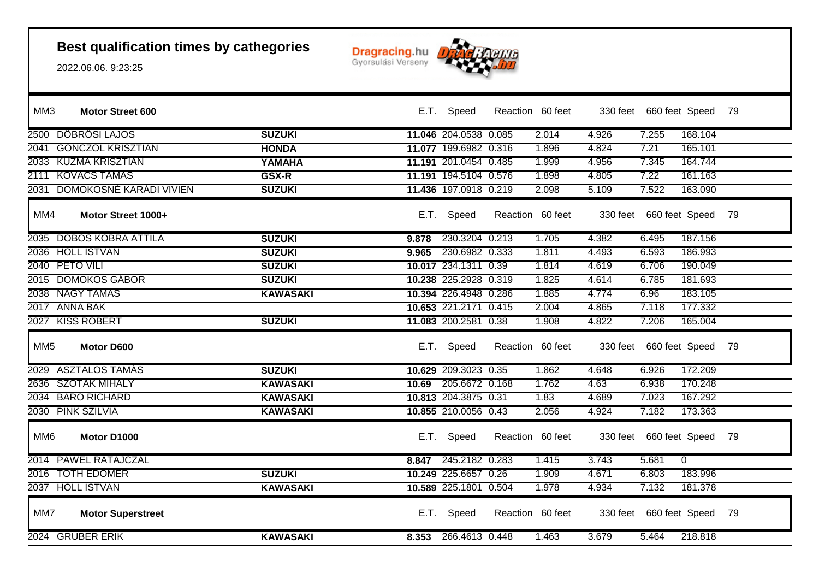

| MM3             | Motor Street 600             |                 |       | E.T. Speed            | Reaction 60 feet |       |       | 330 feet 660 feet Speed 79 |                |  |
|-----------------|------------------------------|-----------------|-------|-----------------------|------------------|-------|-------|----------------------------|----------------|--|
|                 | 2500 DOBROSI LAJOS           | <b>SUZUKI</b>   |       | 11.046 204.0538 0.085 |                  | 2.014 | 4.926 | 7.255                      | 168.104        |  |
|                 | 2041 GONCZOL KRISZTIAN       | <b>HONDA</b>    |       | 11.077 199.6982 0.316 |                  | 1.896 | 4.824 | 7.21                       | 165.101        |  |
|                 | 2033 KUZMA KRISZTIAN         | YAMAHA          |       | 11.191 201.0454 0.485 |                  | 1.999 | 4.956 | 7.345                      | 164.744        |  |
|                 | 2111 KOVACS TAMAS            | GSX-R           |       | 11.191 194.5104 0.576 |                  | 1.898 | 4.805 | 7.22                       | 161.163        |  |
|                 | 2031 DOMOKOSNE KARADI VIVIEN | <b>SUZUKI</b>   |       | 11.436 197.0918 0.219 |                  | 2.098 | 5.109 | 7.522                      | 163.090        |  |
| MM4             | Motor Street 1000+           |                 | E.T.  | Speed                 | Reaction 60 feet |       |       | 330 feet 660 feet Speed 79 |                |  |
|                 | 2035 DOBOS KOBRA ATTILA      | <b>SUZUKI</b>   | 9.878 | 230.3204 0.213        |                  | 1.705 | 4.382 | 6.495                      | 187.156        |  |
|                 | 2036 HOLL ISTVAN             | <b>SUZUKI</b>   | 9.965 | 230.6982 0.333        |                  | 1.811 | 4.493 | 6.593                      | 186.993        |  |
|                 | 2040 PETO VILI               | <b>SUZUKI</b>   |       | 10.017 234.1311 0.39  |                  | 1.814 | 4.619 | 6.706                      | 190.049        |  |
|                 | 2015 DOMOKOS GABOR           | <b>SUZUKI</b>   |       | 10.238 225.2928 0.319 |                  | 1.825 | 4.614 | 6.785                      | 181.693        |  |
|                 | 2038 NAGY TAMAS              | <b>KAWASAKI</b> |       | 10.394 226.4948 0.286 |                  | 1.885 | 4.774 | 6.96                       | 183.105        |  |
|                 | 2017 ANNA BAK                |                 |       | 10.653 221.2171 0.415 |                  | 2.004 | 4.865 | 7.118                      | 177.332        |  |
|                 | 2027 KISS ROBERT             | <b>SUZUKI</b>   |       | 11.083 200.2581 0.38  |                  | 1.908 | 4.822 | 7.206                      | 165.004        |  |
| MM <sub>5</sub> | Motor D600                   |                 |       | E.T. Speed            | Reaction 60 feet |       |       | 330 feet 660 feet Speed 79 |                |  |
|                 | 2029 ASZTALOS TAMAS          | <b>SUZUKI</b>   |       | 10.629 209.3023 0.35  |                  | 1.862 | 4.648 | 6.926                      | 172.209        |  |
|                 | 2636 SZOTAK MIHALY           | <b>KAWASAKI</b> |       | 10.69 205.6672 0.168  |                  | 1.762 | 4.63  | 6.938                      | 170.248        |  |
|                 | 2034 BARO RICHARD            | <b>KAWASAKI</b> |       | 10.813 204.3875 0.31  |                  | 1.83  | 4.689 | 7.023                      | 167.292        |  |
|                 | 2030 PINK SZILVIA            | <b>KAWASAKI</b> |       | 10.855 210.0056 0.43  |                  | 2.056 | 4.924 | 7.182                      | 173.363        |  |
| MM <sub>6</sub> | Motor D1000                  |                 |       | E.T. Speed            | Reaction 60 feet |       |       | 330 feet 660 feet Speed 79 |                |  |
|                 | 2014 PAWEL RATAJCZAL         |                 |       | 8.847 245.2182 0.283  |                  | 1.415 | 3.743 | 5.681                      | $\overline{0}$ |  |
|                 | 2016 TOTH EDOMER             | <b>SUZUKI</b>   |       | 10.249 225.6657 0.26  |                  | 1.909 | 4.671 | 6.803                      | 183.996        |  |
|                 | 2037 HOLL ISTVAN             | <b>KAWASAKI</b> |       | 10.589 225.1801 0.504 |                  | 1.978 | 4.934 | 7.132                      | 181.378        |  |
| MM7             | <b>Motor Superstreet</b>     |                 |       | E.T. Speed            | Reaction 60 feet |       |       | 330 feet 660 feet Speed 79 |                |  |
|                 | 2024 GRUBER ERIK             | <b>KAWASAKI</b> |       | 8.353 266.4613 0.448  |                  | 1.463 | 3.679 | 5.464                      | 218.818        |  |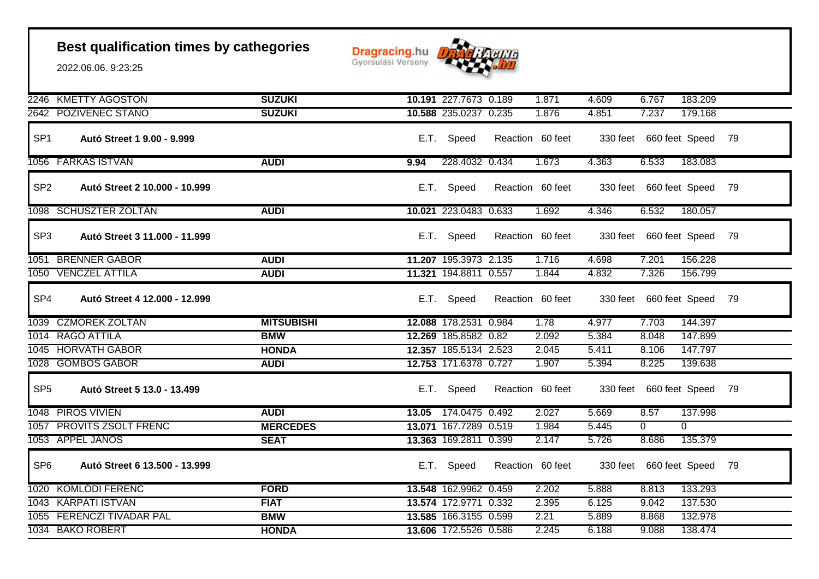

|                 | 2246 KMETTY AGOSTON           | <b>SUZUKI</b>     |      | 10.191 227.7673 0.189 | 1.871            | 4.609 | 6.767                      | 183.209        |      |
|-----------------|-------------------------------|-------------------|------|-----------------------|------------------|-------|----------------------------|----------------|------|
|                 | 2642 POZIVENEC STANO          | <b>SUZUKI</b>     |      | 10.588 235.0237 0.235 | 1.876            | 4.851 | 7.237                      | 179.168        |      |
| SP <sub>1</sub> | Autó Street 1 9.00 - 9.999    |                   |      | E.T. Speed            | Reaction 60 feet |       | 330 feet 660 feet Speed 79 |                |      |
|                 | 1056 FARKAS ISTVAN            | <b>AUDI</b>       | 9.94 | 228.4032 0.434        | 1.673            | 4.363 | 6.533                      | 183.083        |      |
| SP <sub>2</sub> | Autó Street 2 10.000 - 10.999 |                   |      | E.T. Speed            | Reaction 60 feet |       | 330 feet 660 feet Speed    |                | - 79 |
|                 | 1098 SCHUSZTER ZOLTAN         | <b>AUDI</b>       |      | 10.021 223.0483 0.633 | 1.692            | 4.346 | 6.532                      | 180.057        |      |
| SP <sub>3</sub> | Autó Street 3 11.000 - 11.999 |                   |      | E.T. Speed            | Reaction 60 feet |       | 330 feet 660 feet Speed 79 |                |      |
|                 | 1051 BRENNER GABOR            | <b>AUDI</b>       |      | 11.207 195.3973 2.135 | 1.716            | 4.698 | 7.201                      | 156.228        |      |
|                 | 1050 VENCZEL ATTILA           | <b>AUDI</b>       |      | 11.321 194.8811 0.557 | 1.844            | 4.832 | 7.326                      | 156.799        |      |
| SP <sub>4</sub> | Autó Street 4 12.000 - 12.999 |                   |      | E.T. Speed            | Reaction 60 feet |       | 330 feet 660 feet Speed 79 |                |      |
|                 | 1039 CZMOREK ZOLTAN           | <b>MITSUBISHI</b> |      | 12.088 178.2531 0.984 | 1.78             | 4.977 | 7.703                      | 144.397        |      |
|                 | 1014 RAGO ATTILA              | <b>BMW</b>        |      | 12.269 185.8582 0.82  | 2.092            | 5.384 | 8.048                      | 147.899        |      |
|                 | 1045 HORVATH GABOR            | <b>HONDA</b>      |      | 12.357 185.5134 2.523 | 2.045            | 5.411 | 8.106                      | 147.797        |      |
|                 | 1028 GOMBOS GABOR             | <b>AUDI</b>       |      | 12.753 171.6378 0.727 | 1.907            | 5.394 | 8.225                      | 139.638        |      |
| SP <sub>5</sub> | Autó Street 5 13.0 - 13.499   |                   |      | E.T. Speed            | Reaction 60 feet |       | 330 feet 660 feet Speed 79 |                |      |
|                 | 1048 PIROS VIVIEN             | <b>AUDI</b>       |      | 13.05 174.0475 0.492  | 2.027            | 5.669 | 8.57                       | 137.998        |      |
|                 | 1057 PROVITS ZSOLT FRENC      | <b>MERCEDES</b>   |      | 13.071 167.7289 0.519 | 1.984            | 5.445 | $\overline{0}$             | $\overline{0}$ |      |
|                 | 1053 APPEL JANOS              | <b>SEAT</b>       |      | 13.363 169.2811 0.399 | 2.147            | 5.726 | 8.686                      | 135.379        |      |
| SP <sub>6</sub> | Autó Street 6 13.500 - 13.999 |                   |      | E.T. Speed            | Reaction 60 feet |       | 330 feet 660 feet Speed 79 |                |      |
|                 | 1020 KOMLODI FERENC           | <b>FORD</b>       |      | 13.548 162.9962 0.459 | 2.202            | 5.888 | 8.813                      | 133.293        |      |
|                 | 1043 KARPATI ISTVAN           | <b>FIAT</b>       |      | 13.574 172.9771 0.332 | 2.395            | 6.125 | 9.042                      | 137.530        |      |
|                 | 1055 FERENCZI TIVADAR PÁL     | <b>BMW</b>        |      | 13.585 166.3155 0.599 | 2.21             | 5.889 | 8.868                      | 132.978        |      |
|                 | 1034 BAKO ROBERT              | <b>HONDA</b>      |      | 13.606 172.5526 0.586 | 2.245            | 6.188 | 9.088                      | 138.474        |      |
|                 |                               |                   |      |                       |                  |       |                            |                |      |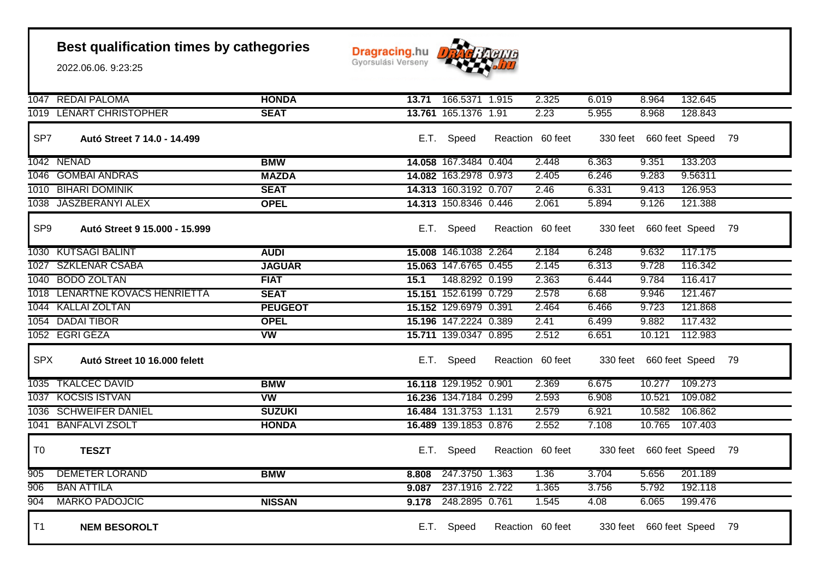**Dragracing.hu** 



|                 | 1047 REDAI PALOMA              | <b>HONDA</b>             | 13.71 | 166.5371 1.915        | 2.325            | 6.019 | 8.964                      | 132.645 |  |
|-----------------|--------------------------------|--------------------------|-------|-----------------------|------------------|-------|----------------------------|---------|--|
|                 | 1019 LENART CHRISTOPHER        | <b>SEAT</b>              |       | 13.761 165.1376 1.91  | 2.23             | 5.955 | 8.968                      | 128.843 |  |
| SP7             | Autó Street 7 14.0 - 14.499    |                          |       | E.T. Speed            | Reaction 60 feet |       | 330 feet 660 feet Speed 79 |         |  |
|                 | 1042 NENAD                     | <b>BMW</b>               |       | 14.058 167.3484 0.404 | 2.448            | 6.363 | 9.351                      | 133.203 |  |
|                 | 1046 GOMBAI ANDRAS             | <b>MAZDA</b>             |       | 14.082 163.2978 0.973 | 2.405            | 6.246 | 9.283                      | 9.56311 |  |
|                 | 1010 BIHARI DOMINIK            | <b>SEAT</b>              |       | 14.313 160.3192 0.707 | 2.46             | 6.331 | 9.413                      | 126.953 |  |
|                 | 1038 JÁSZBERÁNYI ALEX          | <b>OPEL</b>              |       | 14.313 150.8346 0.446 | 2.061            | 5.894 | 9.126                      | 121.388 |  |
| SP <sub>9</sub> | Autó Street 9 15.000 - 15.999  |                          |       | E.T. Speed            | Reaction 60 feet |       | 330 feet 660 feet Speed 79 |         |  |
|                 | 1030 KUTSAGI BALINT            | <b>AUDI</b>              |       | 15.008 146.1038 2.264 | 2.184            | 6.248 | 9.632                      | 117.175 |  |
|                 | 1027 SZKLENAR CSABA            | <b>JAGUÁR</b>            |       | 15.063 147.6765 0.455 | 2.145            | 6.313 | 9.728                      | 116.342 |  |
|                 | 1040 BODÖ ZOLTAN               | <b>FIAT</b>              | 15.1  | 148.8292 0.199        | 2.363            | 6.444 | 9.784                      | 116.417 |  |
|                 | 1018 LENARTNE KOVACS HENRIETTA | <b>SEAT</b>              |       | 15.151 152.6199 0.729 | 2.578            | 6.68  | 9.946                      | 121.467 |  |
|                 | 1044 KALLAI ZOLTAN             | <b>PEUGEOT</b>           |       | 15.152 129.6979 0.391 | 2.464            | 6.466 | 9.723                      | 121.868 |  |
|                 | 1054 DADAI TIBOR               | <b>OPEL</b>              |       | 15.196 147.2224 0.389 | 2.41             | 6.499 | 9.882                      | 117.432 |  |
|                 | 1052 EGRI GEZA                 | <b>VW</b>                |       | 15.711 139.0347 0.895 | 2.512            | 6.651 | 10.121                     | 112.983 |  |
| <b>SPX</b>      | Autó Street 10 16.000 felett   |                          |       | E.T. Speed            | Reaction 60 feet |       | 330 feet 660 feet Speed 79 |         |  |
|                 | 1035 TKALCEC DAVID             | <b>BMW</b>               |       | 16.118 129.1952 0.901 | 2.369            | 6.675 | 10.277                     | 109.273 |  |
|                 | 1037 KOCSIS ISTVAN             | $\overline{\mathsf{vw}}$ |       | 16.236 134.7184 0.299 | 2.593            | 6.908 | 10.521                     | 109.082 |  |
|                 | 1036 SCHWEIFER DANIEL          | <b>SUZUKI</b>            |       | 16.484 131.3753 1.131 | 2.579            | 6.921 | 10.582                     | 106.862 |  |
|                 | 1041 BANFALVI ZSOLT            | <b>HONDA</b>             |       | 16.489 139.1853 0.876 | 2.552            | 7.108 | 10.765                     | 107.403 |  |
| T <sub>0</sub>  | <b>TESZT</b>                   |                          |       | E.T. Speed            | Reaction 60 feet |       | 330 feet 660 feet Speed 79 |         |  |
| 905             | <b>DEMETER LORAND</b>          | <b>BMW</b>               | 8.808 | 247.3750 1.363        | 1.36             | 3.704 | 5.656                      | 201.189 |  |
| 906             | <b>BAN ATTILA</b>              |                          | 9.087 | 237.1916 2.722        | 1.365            | 3.756 | 5.792                      | 192.118 |  |
| 904             | <b>MARKO PADOJCIC</b>          | <b>NISSAN</b>            | 9.178 | 248.2895 0.761        | 1.545            | 4.08  | 6.065                      | 199.476 |  |
| T1              | <b>NEM BESOROLT</b>            |                          |       | E.T. Speed            | Reaction 60 feet |       | 330 feet 660 feet Speed 79 |         |  |